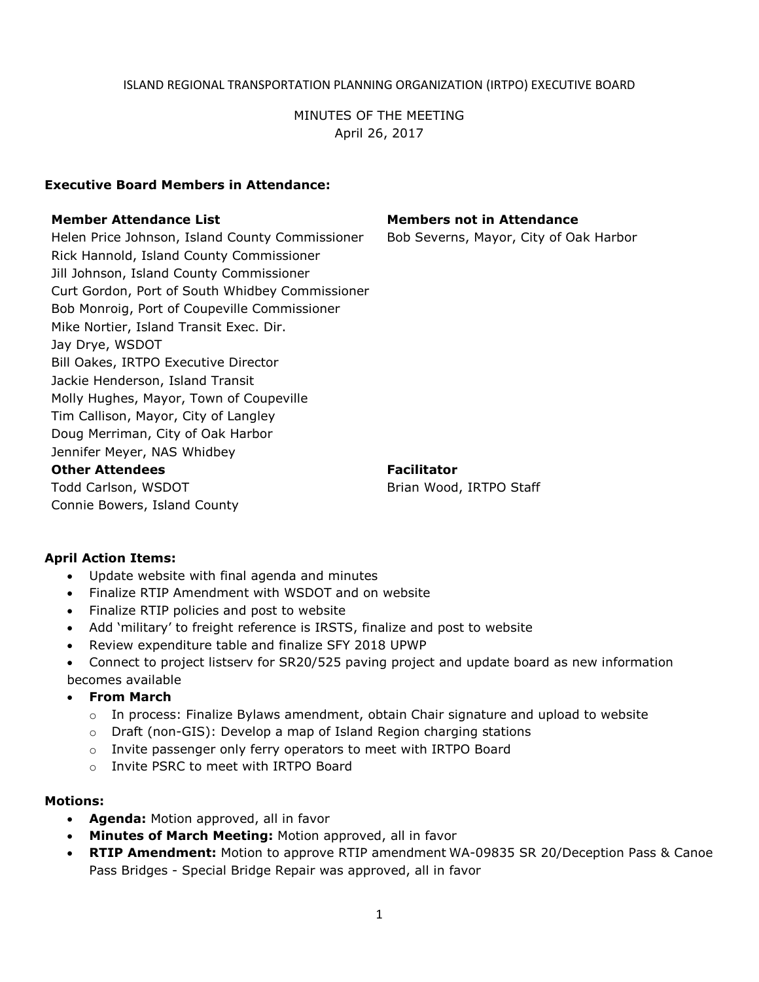## ISLAND REGIONAL TRANSPORTATION PLANNING ORGANIZATION (IRTPO) EXECUTIVE BOARD

## MINUTES OF THE MEETING April 26, 2017

### **Executive Board Members in Attendance:**

Helen Price Johnson, Island County Commissioner Bob Severns, Mayor, City of Oak Harbor Rick Hannold, Island County Commissioner Jill Johnson, Island County Commissioner Curt Gordon, Port of South Whidbey Commissioner Bob Monroig, Port of Coupeville Commissioner Mike Nortier, Island Transit Exec. Dir. Jay Drye, WSDOT Bill Oakes, IRTPO Executive Director Jackie Henderson, Island Transit Molly Hughes, Mayor, Town of Coupeville Tim Callison, Mayor, City of Langley Doug Merriman, City of Oak Harbor Jennifer Meyer, NAS Whidbey

#### **Other Attendees Facilitator**

Todd Carlson, WSDOT C Connie Bowers, Island County

**Member Attendance List Members not in Attendance**

Brian Wood, IRTPO Staff

### **April Action Items:**

- Update website with final agenda and minutes
- Finalize RTIP Amendment with WSDOT and on website
- Finalize RTIP policies and post to website
- Add 'military' to freight reference is IRSTS, finalize and post to website
- Review expenditure table and finalize SFY 2018 UPWP
- Connect to project listserv for SR20/525 paving project and update board as new information becomes available

#### **From March**

- $\circ$  In process: Finalize Bylaws amendment, obtain Chair signature and upload to website
- $\circ$  Draft (non-GIS): Develop a map of Island Region charging stations
- o Invite passenger only ferry operators to meet with IRTPO Board
- o Invite PSRC to meet with IRTPO Board

#### **Motions:**

- **Agenda:** Motion approved, all in favor
- **Minutes of March Meeting:** Motion approved, all in favor
- **RTIP Amendment:** Motion to approve RTIP amendment WA-09835 SR 20/Deception Pass & Canoe Pass Bridges - Special Bridge Repair was approved, all in favor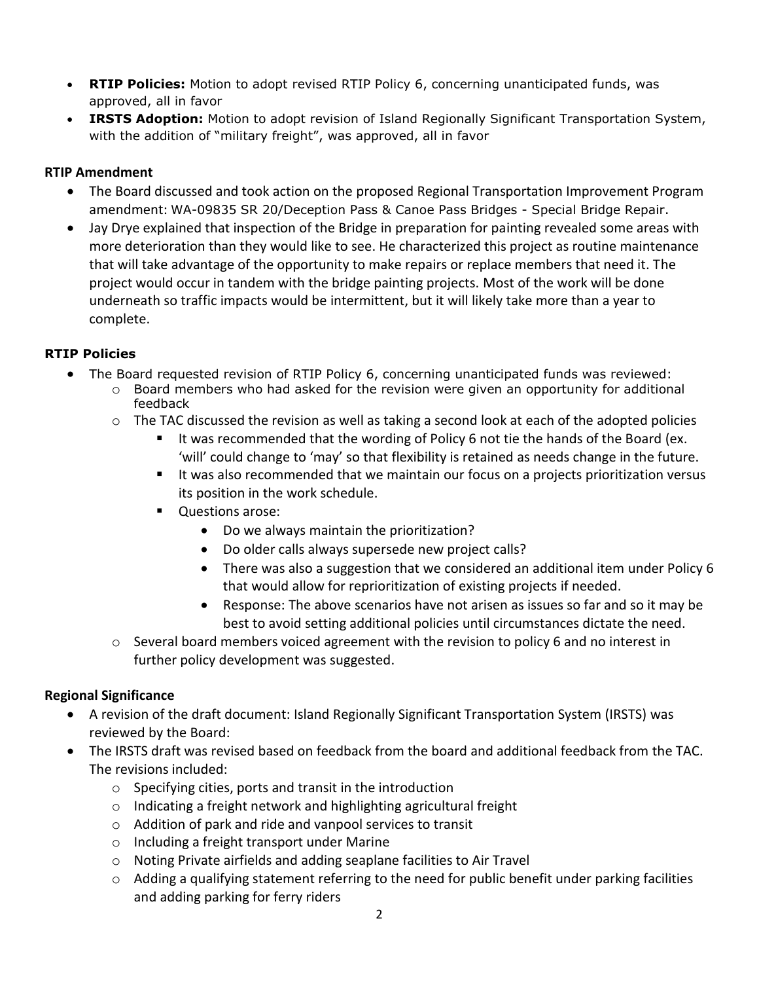- **RTIP Policies:** Motion to adopt revised RTIP Policy 6, concerning unanticipated funds, was approved, all in favor
- **IRSTS Adoption:** Motion to adopt revision of Island Regionally Significant Transportation System, with the addition of "military freight", was approved, all in favor

## **RTIP Amendment**

- The Board discussed and took action on the proposed Regional Transportation Improvement Program amendment: WA-09835 SR 20/Deception Pass & Canoe Pass Bridges - Special Bridge Repair.
- Jay Drye explained that inspection of the Bridge in preparation for painting revealed some areas with more deterioration than they would like to see. He characterized this project as routine maintenance that will take advantage of the opportunity to make repairs or replace members that need it. The project would occur in tandem with the bridge painting projects. Most of the work will be done underneath so traffic impacts would be intermittent, but it will likely take more than a year to complete.

# **RTIP Policies**

- The Board requested revision of RTIP Policy 6, concerning unanticipated funds was reviewed:
	- o Board members who had asked for the revision were given an opportunity for additional feedback
	- $\circ$  The TAC discussed the revision as well as taking a second look at each of the adopted policies
		- It was recommended that the wording of Policy 6 not tie the hands of the Board (ex. 'will' could change to 'may' so that flexibility is retained as needs change in the future.
		- It was also recommended that we maintain our focus on a projects prioritization versus its position in the work schedule.
		- **Questions arose:** 
			- Do we always maintain the prioritization?
			- Do older calls always supersede new project calls?
			- There was also a suggestion that we considered an additional item under Policy 6 that would allow for reprioritization of existing projects if needed.
			- Response: The above scenarios have not arisen as issues so far and so it may be best to avoid setting additional policies until circumstances dictate the need.
	- $\circ$  Several board members voiced agreement with the revision to policy 6 and no interest in further policy development was suggested.

# **Regional Significance**

- A revision of the draft document: Island Regionally Significant Transportation System (IRSTS) was reviewed by the Board:
- The IRSTS draft was revised based on feedback from the board and additional feedback from the TAC. The revisions included:
	- o Specifying cities, ports and transit in the introduction
	- o Indicating a freight network and highlighting agricultural freight
	- o Addition of park and ride and vanpool services to transit
	- o Including a freight transport under Marine
	- o Noting Private airfields and adding seaplane facilities to Air Travel
	- o Adding a qualifying statement referring to the need for public benefit under parking facilities and adding parking for ferry riders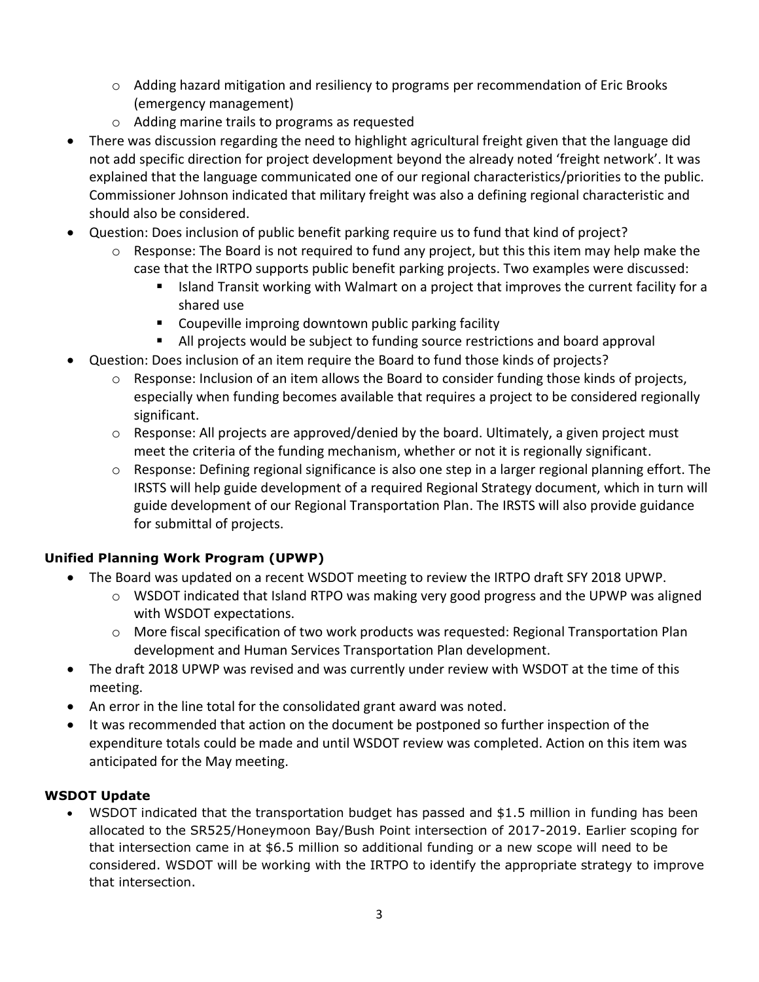- $\circ$  Adding hazard mitigation and resiliency to programs per recommendation of Eric Brooks (emergency management)
- o Adding marine trails to programs as requested
- There was discussion regarding the need to highlight agricultural freight given that the language did not add specific direction for project development beyond the already noted 'freight network'. It was explained that the language communicated one of our regional characteristics/priorities to the public. Commissioner Johnson indicated that military freight was also a defining regional characteristic and should also be considered.
- Question: Does inclusion of public benefit parking require us to fund that kind of project?
	- $\circ$  Response: The Board is not required to fund any project, but this this item may help make the case that the IRTPO supports public benefit parking projects. Two examples were discussed:
		- Island Transit working with Walmart on a project that improves the current facility for a shared use
		- **E** Coupeville improing downtown public parking facility
		- All projects would be subject to funding source restrictions and board approval
- Question: Does inclusion of an item require the Board to fund those kinds of projects?
	- $\circ$  Response: Inclusion of an item allows the Board to consider funding those kinds of projects, especially when funding becomes available that requires a project to be considered regionally significant.
	- $\circ$  Response: All projects are approved/denied by the board. Ultimately, a given project must meet the criteria of the funding mechanism, whether or not it is regionally significant.
	- o Response: Defining regional significance is also one step in a larger regional planning effort. The IRSTS will help guide development of a required Regional Strategy document, which in turn will guide development of our Regional Transportation Plan. The IRSTS will also provide guidance for submittal of projects.

# **Unified Planning Work Program (UPWP)**

- The Board was updated on a recent WSDOT meeting to review the IRTPO draft SFY 2018 UPWP.
	- $\circ$  WSDOT indicated that Island RTPO was making very good progress and the UPWP was aligned with WSDOT expectations.
	- o More fiscal specification of two work products was requested: Regional Transportation Plan development and Human Services Transportation Plan development.
- The draft 2018 UPWP was revised and was currently under review with WSDOT at the time of this meeting.
- An error in the line total for the consolidated grant award was noted.
- It was recommended that action on the document be postponed so further inspection of the expenditure totals could be made and until WSDOT review was completed. Action on this item was anticipated for the May meeting.

# **WSDOT Update**

 WSDOT indicated that the transportation budget has passed and \$1.5 million in funding has been allocated to the SR525/Honeymoon Bay/Bush Point intersection of 2017-2019. Earlier scoping for that intersection came in at \$6.5 million so additional funding or a new scope will need to be considered. WSDOT will be working with the IRTPO to identify the appropriate strategy to improve that intersection.